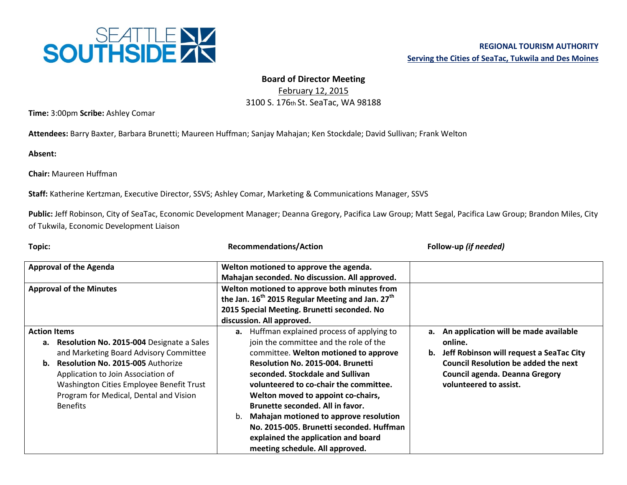

## **Board of Director Meeting**

February 12, 2015 3100 S. 176th St. SeaTac, WA 98188

**Time:** 3:00pm **Scribe:** Ashley Comar

**Attendees:** Barry Baxter, Barbara Brunetti; Maureen Huffman; Sanjay Mahajan; Ken Stockdale; David Sullivan; Frank Welton

**Absent:**

**Chair:** Maureen Huffman

**Staff:** Katherine Kertzman, Executive Director, SSVS; Ashley Comar, Marketing & Communications Manager, SSVS

Public: Jeff Robinson, City of SeaTac, Economic Development Manager; Deanna Gregory, Pacifica Law Group; Matt Segal, Pacifica Law Group; Brandon Miles, City of Tukwila, Economic Development Liaison

| Topic:                                                                                                                                                                                                                                                                                                  | <b>Recommendations/Action</b>                                                                                                                                                                                                                                                                                                                                                                                                                                                                                   | Follow-up (if needed)                                                                                                                                                                                            |
|---------------------------------------------------------------------------------------------------------------------------------------------------------------------------------------------------------------------------------------------------------------------------------------------------------|-----------------------------------------------------------------------------------------------------------------------------------------------------------------------------------------------------------------------------------------------------------------------------------------------------------------------------------------------------------------------------------------------------------------------------------------------------------------------------------------------------------------|------------------------------------------------------------------------------------------------------------------------------------------------------------------------------------------------------------------|
| <b>Approval of the Agenda</b>                                                                                                                                                                                                                                                                           | Welton motioned to approve the agenda.<br>Mahajan seconded. No discussion. All approved.                                                                                                                                                                                                                                                                                                                                                                                                                        |                                                                                                                                                                                                                  |
| <b>Approval of the Minutes</b>                                                                                                                                                                                                                                                                          | Welton motioned to approve both minutes from<br>the Jan. 16 <sup>th</sup> 2015 Regular Meeting and Jan. 27 <sup>th</sup><br>2015 Special Meeting. Brunetti seconded. No<br>discussion. All approved.                                                                                                                                                                                                                                                                                                            |                                                                                                                                                                                                                  |
| <b>Action Items</b><br>a. Resolution No. 2015-004 Designate a Sales<br>and Marketing Board Advisory Committee<br>Resolution No. 2015-005 Authorize<br>b.<br>Application to Join Association of<br>Washington Cities Employee Benefit Trust<br>Program for Medical, Dental and Vision<br><b>Benefits</b> | <b>a.</b> Huffman explained process of applying to<br>join the committee and the role of the<br>committee. Welton motioned to approve<br><b>Resolution No. 2015-004. Brunetti</b><br>seconded. Stockdale and Sullivan<br>volunteered to co-chair the committee.<br>Welton moved to appoint co-chairs,<br>Brunette seconded. All in favor.<br>Mahajan motioned to approve resolution<br>b.<br>No. 2015-005. Brunetti seconded. Huffman<br>explained the application and board<br>meeting schedule. All approved. | a. An application will be made available<br>online.<br>Jeff Robinson will request a SeaTac City<br>b.<br><b>Council Resolution be added the next</b><br>Council agenda. Deanna Gregory<br>volunteered to assist. |